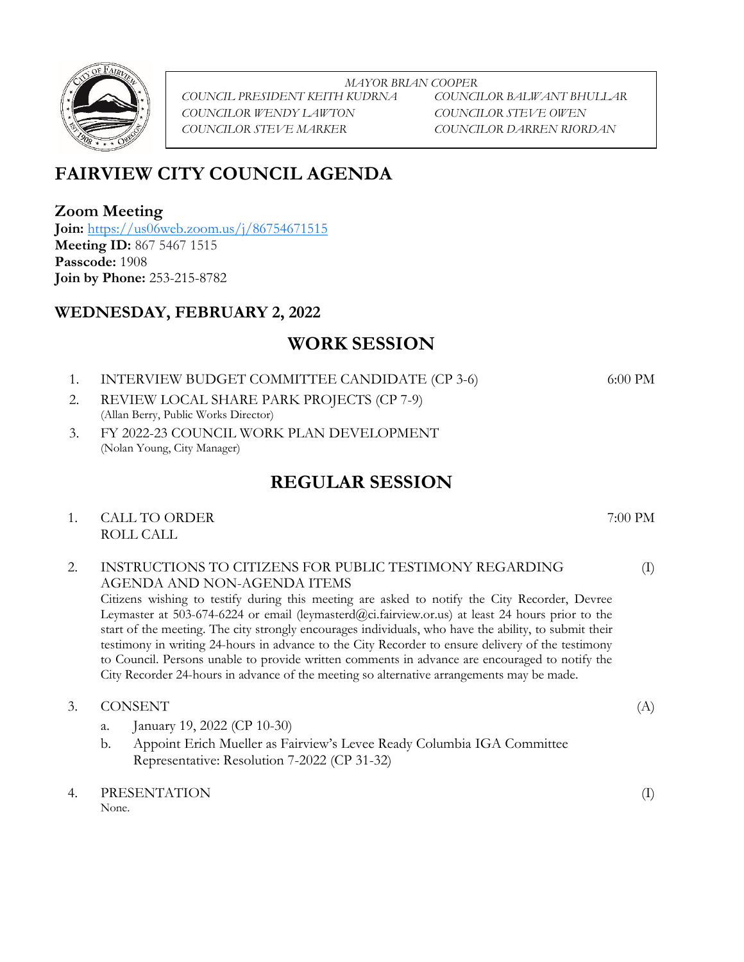

*MAYOR BRIAN COOPER COUNCIL PRESIDENT KEITH KUDRNA COUNCILOR BALWANT BHULLAR COUNCILOR WENDY LAWTON COUNCILOR STEVE OWEN COUNCILOR STEVE MARKER COUNCILOR DARREN RIORDAN*

# **FAIRVIEW CITY COUNCIL AGENDA**

### **Zoom Meeting**

**Join:** <https://us06web.zoom.us/j/86754671515> **Meeting ID:** 867 5467 1515 **Passcode:** 1908 **Join by Phone:** 253-215-8782

### **WEDNESDAY, FEBRUARY 2, 2022**

## **WORK SESSION**

- 1. INTERVIEW BUDGET COMMITTEE CANDIDATE (CP 3-6) 6:00 PM
- 2. REVIEW LOCAL SHARE PARK PROJECTS (CP 7-9) (Allan Berry, Public Works Director)
- 3. FY 2022-23 COUNCIL WORK PLAN DEVELOPMENT (Nolan Young, City Manager)

## **REGULAR SESSION**

- 1. CALL TO ORDER 7:00 PM ROLL CALL
- 2. INSTRUCTIONS TO CITIZENS FOR PUBLIC TESTIMONY REGARDING AGENDA AND NON-AGENDA ITEMS (I) Citizens wishing to testify during this meeting are asked to notify the City Recorder, Devree

Leymaster at 503-674-6224 or email (leymasterd@ci.fairview.or.us) at least 24 hours prior to the start of the meeting. The city strongly encourages individuals, who have the ability, to submit their testimony in writing 24-hours in advance to the City Recorder to ensure delivery of the testimony to Council. Persons unable to provide written comments in advance are encouraged to notify the City Recorder 24-hours in advance of the meeting so alternative arrangements may be made.

- 3. CONSENT (A)
	- a. January 19, 2022 (CP 10-30)
	- b. Appoint Erich Mueller as Fairview's Levee Ready Columbia IGA Committee Representative: Resolution 7-2022 (CP 31-32)
- 4. PRESENTATION (I) None.